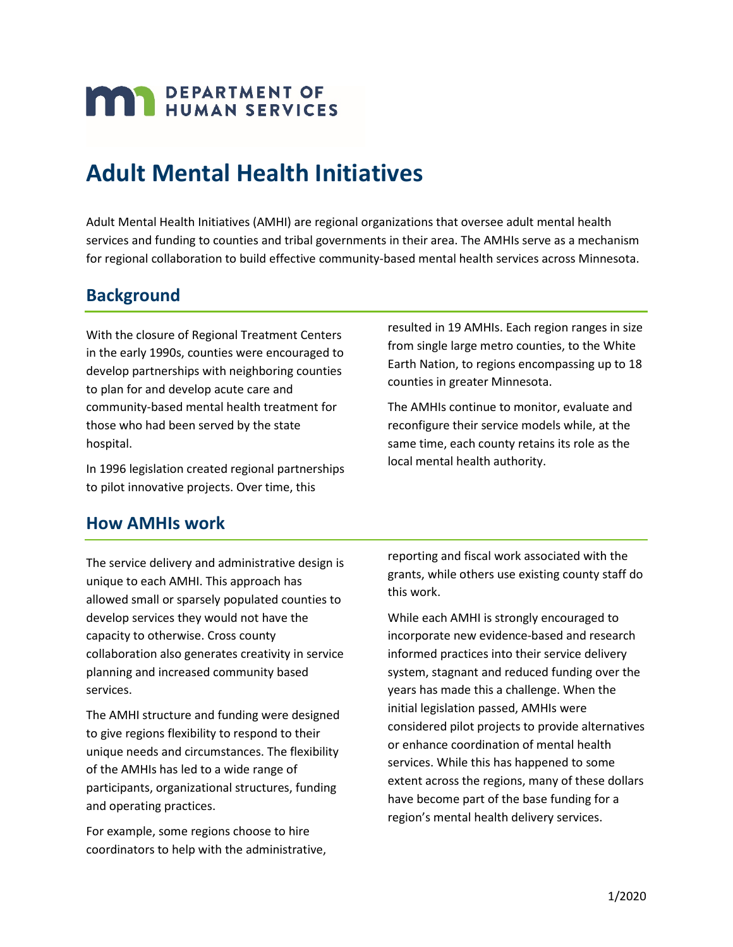# **MAN** DEPARTMENT OF

# **Adult Mental Health Initiatives**

Adult Mental Health Initiatives (AMHI) are regional organizations that oversee adult mental health services and funding to counties and tribal governments in their area. The AMHIs serve as a mechanism for regional collaboration to build effective community-based mental health services across Minnesota.

#### **Background**

With the closure of Regional Treatment Centers in the early 1990s, counties were encouraged to develop partnerships with neighboring counties to plan for and develop acute care and community-based mental health treatment for those who had been served by the state hospital.

In 1996 legislation created regional partnerships to pilot innovative projects. Over time, this

resulted in 19 AMHIs. Each region ranges in size from single large metro counties, to the White Earth Nation, to regions encompassing up to 18 counties in greater Minnesota.

The AMHIs continue to monitor, evaluate and reconfigure their service models while, at the same time, each county retains its role as the local mental health authority.

#### **How AMHIs work**

The service delivery and administrative design is reporting and fiscal work associated with the grants, while others use existing county staff do<br>allowed small or sparsely populated counties to this work. develop services they would not have the While each AMHI is strongly encouraged to capacity to otherwise. Cross county incorporate new evidence-based and research collaboration also generates creativity in service informed practices into their service delivery planning and increased community based system, stagnant and reduced funding over the services. years has made this a challenge. When the

For example, some regions choose to hire coordinators to help with the administrative,

The AMHI structure and funding were designed<br>to give regions flexibility to respond to their<br>unique needs and circumstances. The flexibility<br>of the AMHIs has led to a wide range of<br>participants, organizational structures,